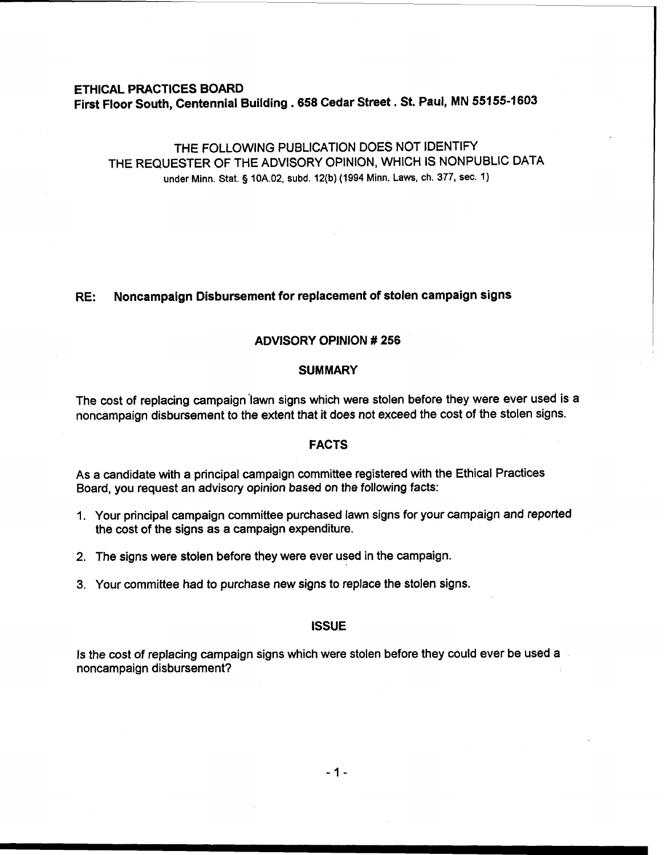## ETHICAL PRACTICES BOARD First Floor South, Centennial Building **.658** Cedar Street. St. Paul, MN **55155-1603**

# THE FOLLOWING PUBLICATION DOES NOT IDENTIFY THE REQUESTER OF THE ADVISORY OPINION, WHICH IS NONPUBLIC DATA under Minn. Stat. **g 10A.02, subd. 12(b) (1994 Minn. Laws, ch. 377, sec. 1)**

### **RE:** Noncampaign Disbursement for replacement of stolen campaign signs

### ADVISORY OPINION # **256**

#### **SUMMARY**

The cost of replacing campaign 'lawn signs which were stolen before they were ever used is a noncampaign disbursement to the extent that it does not exceed the cost of the stolen signs.

#### FACTS

As a candidate with a principal campaign committee registered with the Ethical Practices Board, you request an advisory opinion based on the following facts:

- 1. Your principal campaign committee purchased lawn signs for your campaign and reported the cost of the signs as a campaign expenditure.
- 2. The signs were stolen before they were ever used in the campaign.
- 3. Your committee had to purchase new signs to replace the stolen signs.

#### **ISSUE**

Is the cost of replacing campaign signs which were stolen before they could ever be used a noncampaign disbursement?